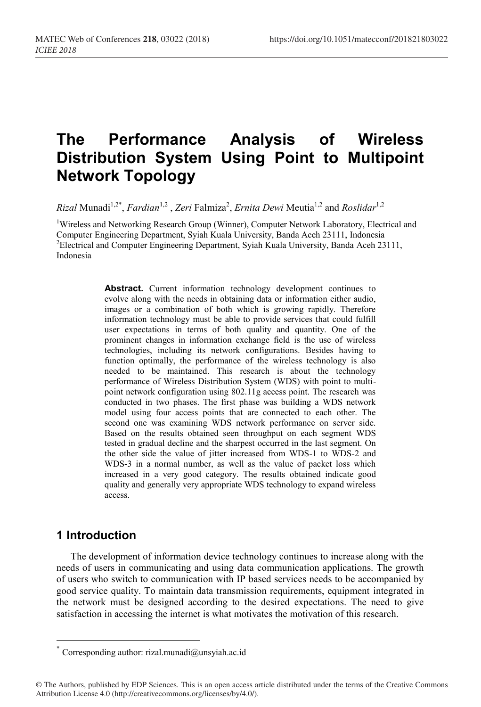# **The Performance Analysis of Wireless Distribution System Using Point to Multipoint Network Topology**

*Rizal* Munadi<sup>1,2\*</sup>, *Fardian*<sup>1,2</sup>, *Zeri* Falmiza<sup>2</sup>, *Ernita Dewi* Meutia<sup>1,2</sup> and *Roslidar*<sup>1,2</sup>

<sup>1</sup>Wireless and Networking Research Group (Winner), Computer Network Laboratory, Electrical and Computer Engineering Department, Syiah Kuala University, Banda Aceh 23111, Indonesia <sup>2</sup> Electrical and Computer Engineering Department, Syiah Kuala University, Banda Aceh 23111, Indonesia

> **Abstract.** Current information technology development continues to evolve along with the needs in obtaining data or information either audio, images or a combination of both which is growing rapidly. Therefore information technology must be able to provide services that could fulfill user expectations in terms of both quality and quantity. One of the prominent changes in information exchange field is the use of wireless technologies, including its network configurations. Besides having to function optimally, the performance of the wireless technology is also needed to be maintained. This research is about the technology performance of Wireless Distribution System (WDS) with point to multipoint network configuration using 802.11g access point. The research was conducted in two phases. The first phase was building a WDS network model using four access points that are connected to each other. The second one was examining WDS network performance on server side. Based on the results obtained seen throughput on each segment WDS tested in gradual decline and the sharpest occurred in the last segment. On the other side the value of jitter increased from WDS-1 to WDS-2 and WDS-3 in a normal number, as well as the value of packet loss which increased in a very good category. The results obtained indicate good quality and generally very appropriate WDS technology to expand wireless access.

# **1 Introduction**

The development of information device technology continues to increase along with the needs of users in communicating and using data communication applications. The growth of users who switch to communication with IP based services needs to be accompanied by good service quality. To maintain data transmission requirements, equipment integrated in the network must be designed according to the desired expectations. The need to give satisfaction in accessing the internet is what motivates the motivation of this research.

 <sup>\*</sup> Corresponding author: rizal.munadi@unsyiah.ac.id

<sup>©</sup> The Authors, published by EDP Sciences. This is an open access article distributed under the terms of the Creative Commons Attribution License 4.0 (http://creativecommons.org/licenses/by/4.0/).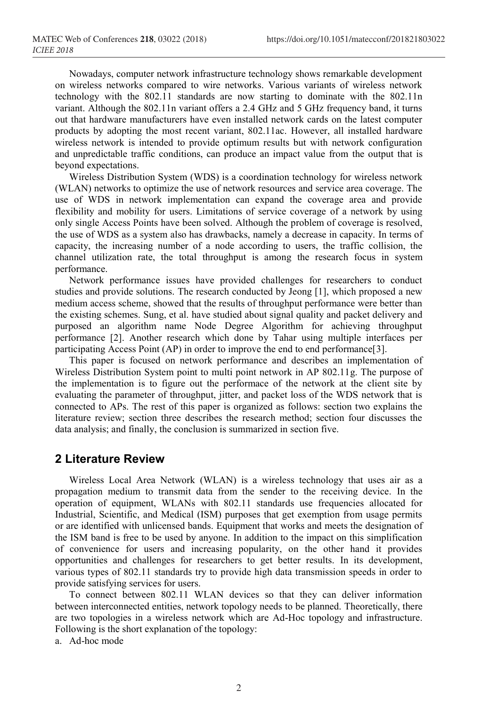Nowadays, computer network infrastructure technology shows remarkable development on wireless networks compared to wire networks. Various variants of wireless network technology with the 802.11 standards are now starting to dominate with the 802.11n variant. Although the 802.11n variant offers a 2.4 GHz and 5 GHz frequency band, it turns out that hardware manufacturers have even installed network cards on the latest computer products by adopting the most recent variant, 802.11ac. However, all installed hardware wireless network is intended to provide optimum results but with network configuration and unpredictable traffic conditions, can produce an impact value from the output that is beyond expectations.

Wireless Distribution System (WDS) is a coordination technology for wireless network (WLAN) networks to optimize the use of network resources and service area coverage. The use of WDS in network implementation can expand the coverage area and provide flexibility and mobility for users. Limitations of service coverage of a network by using only single Access Points have been solved. Although the problem of coverage is resolved, the use of WDS as a system also has drawbacks, namely a decrease in capacity. In terms of capacity, the increasing number of a node according to users, the traffic collision, the channel utilization rate, the total throughput is among the research focus in system performance.

Network performance issues have provided challenges for researchers to conduct studies and provide solutions. The research conducted by Jeong [1], which proposed a new medium access scheme, showed that the results of throughput performance were better than the existing schemes. Sung, et al. have studied about signal quality and packet delivery and purposed an algorithm name Node Degree Algorithm for achieving throughput performance [2]. Another research which done by Tahar using multiple interfaces per participating Access Point (AP) in order to improve the end to end performance[3].

This paper is focused on network performance and describes an implementation of Wireless Distribution System point to multi point network in AP 802.11g. The purpose of the implementation is to figure out the performace of the network at the client site by evaluating the parameter of throughput, jitter, and packet loss of the WDS network that is connected to APs. The rest of this paper is organized as follows: section two explains the literature review; section three describes the research method; section four discusses the data analysis; and finally, the conclusion is summarized in section five.

#### **2 Literature Review**

Wireless Local Area Network (WLAN) is a wireless technology that uses air as a propagation medium to transmit data from the sender to the receiving device. In the operation of equipment, WLANs with 802.11 standards use frequencies allocated for Industrial, Scientific, and Medical (ISM) purposes that get exemption from usage permits or are identified with unlicensed bands. Equipment that works and meets the designation of the ISM band is free to be used by anyone. In addition to the impact on this simplification of convenience for users and increasing popularity, on the other hand it provides opportunities and challenges for researchers to get better results. In its development, various types of 802.11 standards try to provide high data transmission speeds in order to provide satisfying services for users.

To connect between 802.11 WLAN devices so that they can deliver information between interconnected entities, network topology needs to be planned. Theoretically, there are two topologies in a wireless network which are Ad-Hoc topology and infrastructure. Following is the short explanation of the topology:

a. Ad-hoc mode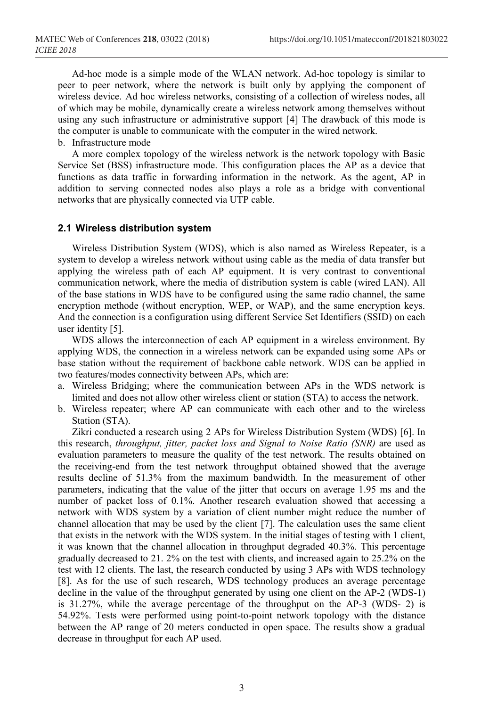Ad-hoc mode is a simple mode of the WLAN network. Ad-hoc topology is similar to peer to peer network, where the network is built only by applying the component of wireless device. Ad hoc wireless networks, consisting of a collection of wireless nodes, all of which may be mobile, dynamically create a wireless network among themselves without using any such infrastructure or administrative support [4] The drawback of this mode is the computer is unable to communicate with the computer in the wired network.

b. Infrastructure mode

A more complex topology of the wireless network is the network topology with Basic Service Set (BSS) infrastructure mode. This configuration places the AP as a device that functions as data traffic in forwarding information in the network. As the agent, AP in addition to serving connected nodes also plays a role as a bridge with conventional networks that are physically connected via UTP cable.

#### **2.1 Wireless distribution system**

Wireless Distribution System (WDS), which is also named as Wireless Repeater, is a system to develop a wireless network without using cable as the media of data transfer but applying the wireless path of each AP equipment. It is very contrast to conventional communication network, where the media of distribution system is cable (wired LAN). All of the base stations in WDS have to be configured using the same radio channel, the same encryption methode (without encryption, WEP, or WAP), and the same encryption keys. And the connection is a configuration using different Service Set Identifiers (SSID) on each user identity [5].

WDS allows the interconnection of each AP equipment in a wireless environment. By applying WDS, the connection in a wireless network can be expanded using some APs or base station without the requirement of backbone cable network. WDS can be applied in two features/modes connectivity between APs, which are:

- a. Wireless Bridging; where the communication between APs in the WDS network is limited and does not allow other wireless client or station (STA) to access the network.
- b. Wireless repeater; where AP can communicate with each other and to the wireless Station (STA).

Zikri conducted a research using 2 APs for Wireless Distribution System (WDS) [6]. In this research, *throughput, jitter, packet loss and Signal to Noise Ratio (SNR)* are used as evaluation parameters to measure the quality of the test network. The results obtained on the receiving-end from the test network throughput obtained showed that the average results decline of 51.3% from the maximum bandwidth. In the measurement of other parameters, indicating that the value of the jitter that occurs on average 1.95 ms and the number of packet loss of 0.1%. Another research evaluation showed that accessing a network with WDS system by a variation of client number might reduce the number of channel allocation that may be used by the client [7]. The calculation uses the same client that exists in the network with the WDS system. In the initial stages of testing with 1 client, it was known that the channel allocation in throughput degraded 40.3%. This percentage gradually decreased to 21. 2% on the test with clients, and increased again to 25.2% on the test with 12 clients. The last, the research conducted by using 3 APs with WDS technology [8]. As for the use of such research, WDS technology produces an average percentage decline in the value of the throughput generated by using one client on the AP-2 (WDS-1) is 31.27%, while the average percentage of the throughput on the AP-3 (WDS- 2) is 54.92%. Tests were performed using point-to-point network topology with the distance between the AP range of 20 meters conducted in open space. The results show a gradual decrease in throughput for each AP used.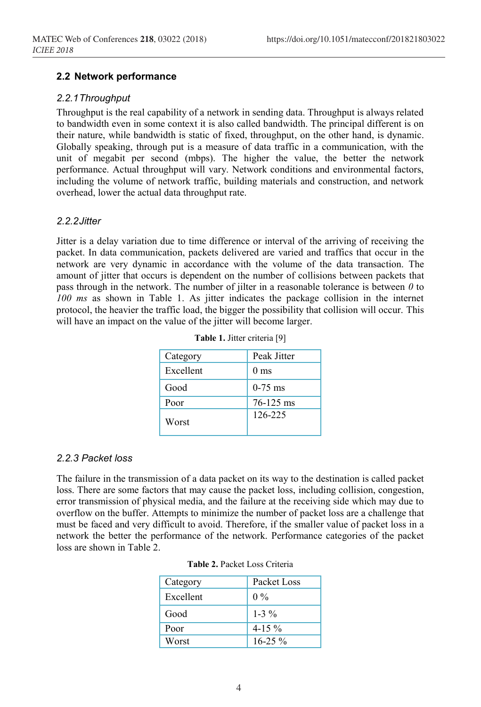#### **2.2 Network performance**

#### *2.2.1Throughput*

Throughput is the real capability of a network in sending data. Throughput is always related to bandwidth even in some context it is also called bandwidth. The principal different is on their nature, while bandwidth is static of fixed, throughput, on the other hand, is dynamic. Globally speaking, through put is a measure of data traffic in a communication, with the unit of megabit per second (mbps). The higher the value, the better the network performance. Actual throughput will vary. Network conditions and environmental factors, including the volume of network traffic, building materials and construction, and network overhead, lower the actual data throughput rate.

#### *2.2.2Jitter*

Jitter is a delay variation due to time difference or interval of the arriving of receiving the packet. In data communication, packets delivered are varied and traffics that occur in the network are very dynamic in accordance with the volume of the data transaction. The amount of jitter that occurs is dependent on the number of collisions between packets that pass through in the network. The number of jilter in a reasonable tolerance is between *0* to *100 ms* as shown in Table 1. As jitter indicates the package collision in the internet protocol, the heavier the traffic load, the bigger the possibility that collision will occur. This will have an impact on the value of the jitter will become larger.

| Category  | Peak Jitter     |
|-----------|-----------------|
| Excellent | 0 <sub>ms</sub> |
| Good      | $0-75$ ms       |
| Poor      | $76 - 125$ ms   |
| Worst     | 126-225         |

|  |  |  | <b>Table 1.</b> Jitter criteria [9] |  |
|--|--|--|-------------------------------------|--|
|--|--|--|-------------------------------------|--|

#### *2.2.3 Packet loss*

The failure in the transmission of a data packet on its way to the destination is called packet loss. There are some factors that may cause the packet loss, including collision, congestion, error transmission of physical media, and the failure at the receiving side which may due to overflow on the buffer. Attempts to minimize the number of packet loss are a challenge that must be faced and very difficult to avoid. Therefore, if the smaller value of packet loss in a network the better the performance of the network. Performance categories of the packet loss are shown in Table 2.

| Category  | Packet Loss  |
|-----------|--------------|
| Excellent | $0\%$        |
| Good      | $1 - 3\%$    |
| Poor      | $4-15\%$     |
| Worst     | $16 - 25 \%$ |

|  |  |  |  | <b>Table 2. Packet Loss Criteria</b> |
|--|--|--|--|--------------------------------------|
|--|--|--|--|--------------------------------------|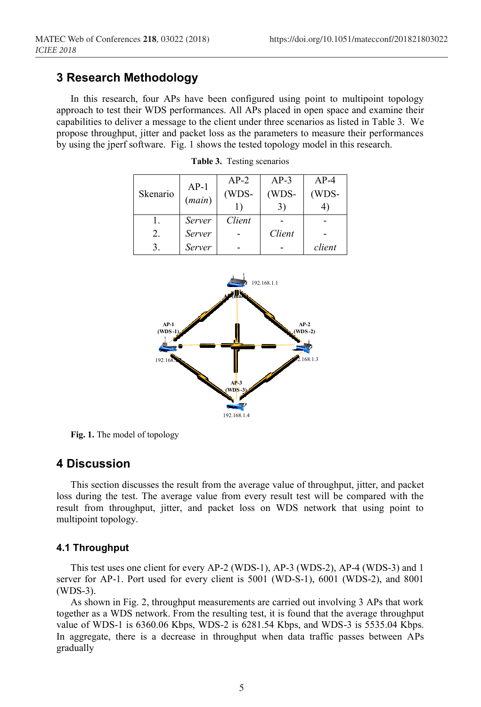# **3 Research Methodology**

In this research, four APs have been configured using point to multipoint topology approach to test their WDS performances. All APs placed in open space and examine their capabilities to deliver a message to the client under three scenarios as listed in Table 3. We propose throughput, jitter and packet loss as the parameters to measure their performances by using the jperf software. Fig. 1 shows the tested topology model in this research.

| Skenario | $AP-1$<br>(main) | $AP-2$  | $AP-3$  | $AP-4$  |
|----------|------------------|---------|---------|---------|
|          |                  | $(WDS-$ | $(WDS-$ | $(WDS-$ |
|          |                  |         |         |         |
|          | Server           | Client  |         |         |
| 2.       | Server           |         | Client  |         |
| 3.       | Server           |         |         | client  |

**Table 3.** Testing scenarios



**Fig. 1.** The model of topology

# **4 Discussion**

This section discusses the result from the average value of throughput, jitter, and packet loss during the test. The average value from every result test will be compared with the result from throughput, jitter, and packet loss on WDS network that using point to multipoint topology.

## **4.1 Throughput**

This test uses one client for every AP-2 (WDS-1), AP-3 (WDS-2), AP-4 (WDS-3) and 1 server for AP-1. Port used for every client is 5001 (WD-S-1), 6001 (WDS-2), and 8001 (WDS-3).

As shown in Fig. 2, throughput measurements are carried out involving 3 APs that work together as a WDS network. From the resulting test, it is found that the average throughput value of WDS-1 is 6360.06 Kbps, WDS-2 is 6281.54 Kbps, and WDS-3 is 5535.04 Kbps. In aggregate, there is a decrease in throughput when data traffic passes between APs gradually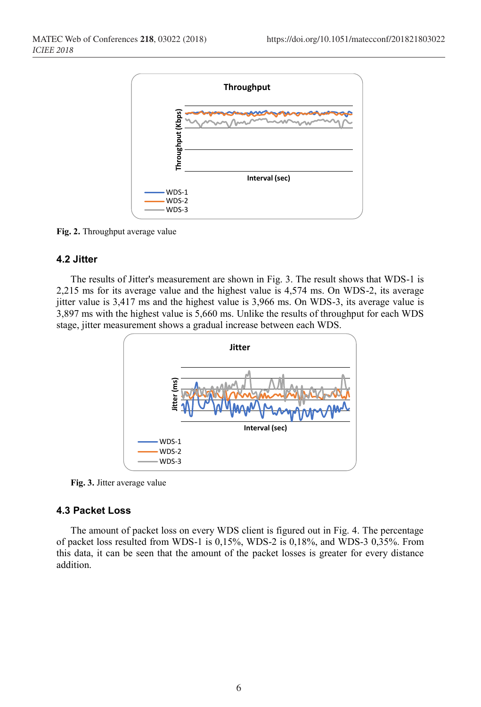

**Fig. 2.** Throughput average value

## **4.2 Jitter**

The results of Jitter's measurement are shown in Fig. 3. The result shows that WDS-1 is 2,215 ms for its average value and the highest value is 4,574 ms. On WDS-2, its average jitter value is 3,417 ms and the highest value is 3,966 ms. On WDS-3, its average value is 3,897 ms with the highest value is 5,660 ms. Unlike the results of throughput for each WDS stage, jitter measurement shows a gradual increase between each WDS.



**Fig. 3.** Jitter average value

## **4.3 Packet Loss**

The amount of packet loss on every WDS client is figured out in Fig. 4. The percentage of packet loss resulted from WDS-1 is 0,15%, WDS-2 is 0,18%, and WDS-3 0,35%. From this data, it can be seen that the amount of the packet losses is greater for every distance addition.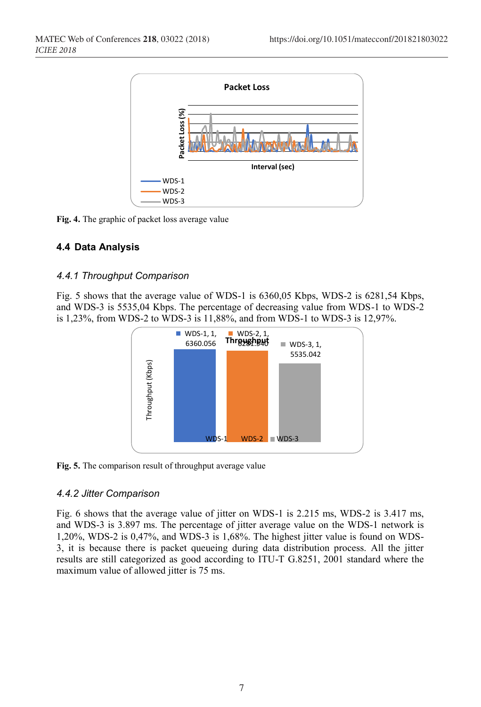

**Fig. 4.** The graphic of packet loss average value

# **4.4 Data Analysis**

## *4.4.1 Throughput Comparison*

Fig. 5 shows that the average value of WDS-1 is 6360,05 Kbps, WDS-2 is 6281,54 Kbps, and WDS-3 is 5535,04 Kbps. The percentage of decreasing value from WDS-1 to WDS-2 is 1,23%, from WDS-2 to WDS-3 is 11,88%, and from WDS-1 to WDS-3 is 12,97%.



**Fig. 5.** The comparison result of throughput average value

## *4.4.2 Jitter Comparison*

Fig. 6 shows that the average value of jitter on WDS-1 is 2.215 ms, WDS-2 is 3.417 ms, and WDS-3 is 3.897 ms. The percentage of jitter average value on the WDS-1 network is 1,20%, WDS-2 is 0,47%, and WDS-3 is 1,68%. The highest jitter value is found on WDS-3, it is because there is packet queueing during data distribution process. All the jitter results are still categorized as good according to ITU-T G.8251, 2001 standard where the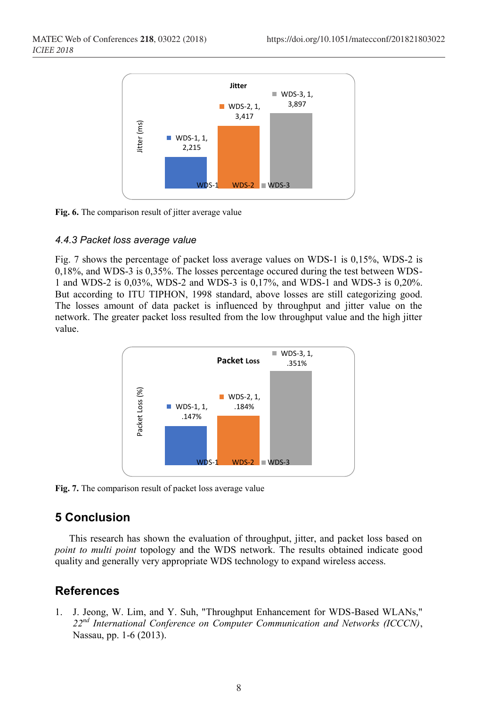

Fig. 6. The comparison result of jitter average value

#### *4.4.3 Packet loss average value*

Fig. 7 shows the percentage of packet loss average values on WDS-1 is 0,15%, WDS-2 is 0,18%, and WDS-3 is 0,35%. The losses percentage occured during the test between WDS-1 and WDS-2 is 0,03%, WDS-2 and WDS-3 is 0,17%, and WDS-1 and WDS-3 is 0,20%. But according to ITU TIPHON, 1998 standard, above losses are still categorizing good. The losses amount of data packet is influenced by throughput and jitter value on the network. The greater packet loss resulted from the low throughput value and the high jitter value.



**Fig. 7.** The comparison result of packet loss average value

## **5 Conclusion**

This research has shown the evaluation of throughput, jitter, and packet loss based on *point to multi point* topology and the WDS network. The results obtained indicate good quality and generally very appropriate WDS technology to expand wireless access.

## **References**

1. J. Jeong, W. Lim, and Y. Suh, "Throughput Enhancement for WDS-Based WLANs," *22nd International Conference on Computer Communication and Networks (ICCCN)*, Nassau, pp. 1-6 (2013).